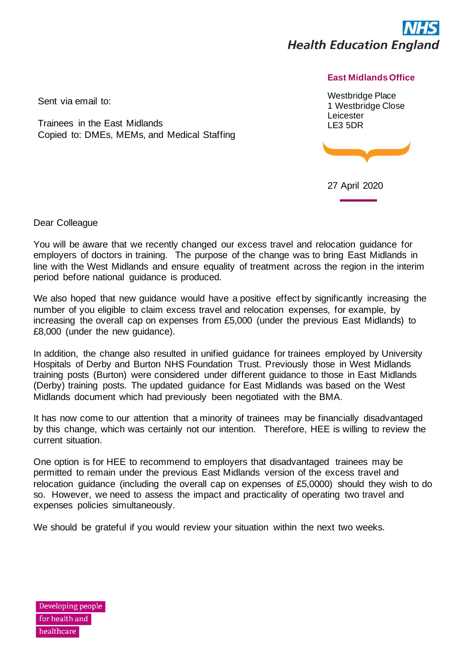

## **East Midlands Office**

Westbridge Place 1 Westbridge Close Leicester LE3 5DR



27 April 2020

Sent via email to:

Trainees in the East Midlands Copied to: DMEs, MEMs, and Medical Staffing

Dear Colleague

You will be aware that we recently changed our excess travel and relocation guidance for employers of doctors in training. The purpose of the change was to bring East Midlands in line with the West Midlands and ensure equality of treatment across the region in the interim period before national guidance is produced.

We also hoped that new guidance would have a positive effect by significantly increasing the number of you eligible to claim excess travel and relocation expenses, for example, by increasing the overall cap on expenses from £5,000 (under the previous East Midlands) to £8,000 (under the new guidance).

In addition, the change also resulted in unified guidance for trainees employed by University Hospitals of Derby and Burton NHS Foundation Trust. Previously those in West Midlands training posts (Burton) were considered under different guidance to those in East Midlands (Derby) training posts. The updated guidance for East Midlands was based on the West Midlands document which had previously been negotiated with the BMA.

It has now come to our attention that a minority of trainees may be financially disadvantaged by this change, which was certainly not our intention. Therefore, HEE is willing to review the current situation.

One option is for HEE to recommend to employers that disadvantaged trainees may be permitted to remain under the previous East Midlands version of the excess travel and relocation guidance (including the overall cap on expenses of £5,0000) should they wish to do so. However, we need to assess the impact and practicality of operating two travel and expenses policies simultaneously.

We should be grateful if you would review your situation within the next two weeks.